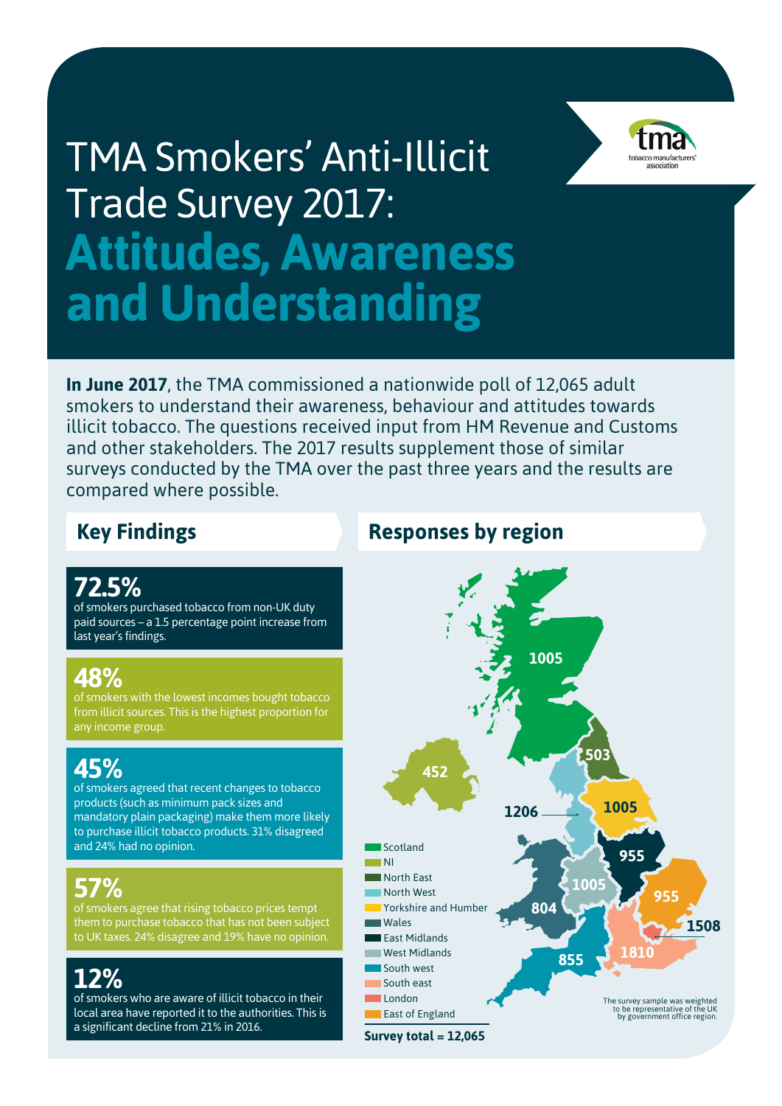# TMA Smokers' Anti-Illicit Trade Survey 2017: **Attitudes, Awareness and Understanding**



**In June 2017**, the TMA commissioned a nationwide poll of 12,065 adult smokers to understand their awareness, behaviour and attitudes towards illicit tobacco. The questions received input from HM Revenue and Customs and other stakeholders. The 2017 results supplement those of similar surveys conducted by the TMA over the past three years and the results are compared where possible.

### **72.5%**

of smokers purchased tobacco from non-UK duty paid sources – a 1.5 percentage point increase from last year's findings.

### **48%**

of smokers with the lowest incomes bought tobacco from illicit sources. This is the highest proportion for any income group.

## **45%**

of smokers agreed that recent changes to tobacco products (such as minimum pack sizes and mandatory plain packaging) make them more likely to purchase illicit tobacco products. 31% disagreed and 24% had no opinion.

## **57%**

of smokers agree that rising tobacco prices tempt them to purchase tobacco that has not been subject to UK taxes. 24% disagree and 19% have no opinion.

## **12%**

of smokers who are aware of illicit tobacco in their local area have reported it to the authorities. This is a significant decline from 21% in 2016.

### **Key Findings Responses by region**

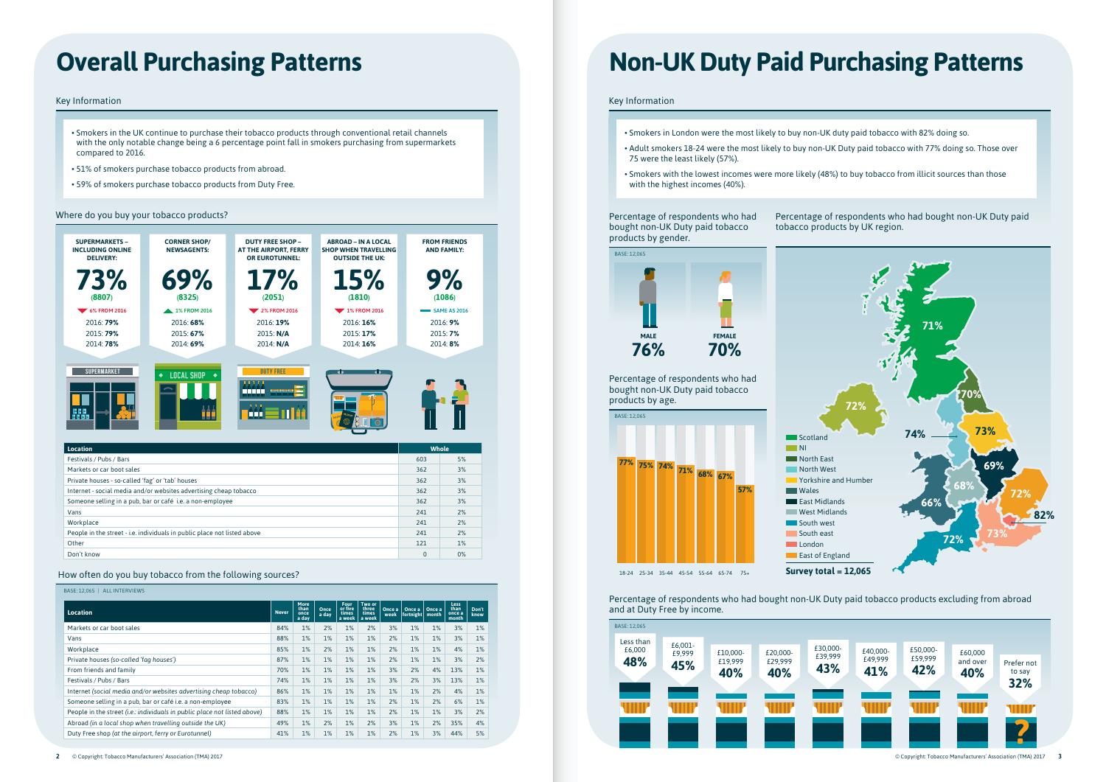# **Overall Purchasing Patterns**

#### Key Information

- Smokers in the UK continue to purchase their tobacco products through conventional retail channels with the only notable change being a 6 percentage point fall in smokers purchasing from supermarkets compared to 2016.
- 51% of smokers purchase tobacco products from abroad.
- 59% of smokers purchase tobacco products from Duty Free.



Don't know 0 0%

How often do you buy tobacco from the following sources?

#### BASE: 12,065 | ALL INTERVIEWS

Percentage of respondents who had bought non-UK Duty paid tobacco

| Location                                                                  | <b>Never</b> | <b>More</b><br>than<br>once<br>a day | Once<br>a day | Four<br>or five<br>times<br>a week | Two or<br>three<br>times<br>a week | Once a<br>week | Once a<br>fortnight month | Once a | <b>Less</b><br>than<br>once a<br>month | Don't<br>know |
|---------------------------------------------------------------------------|--------------|--------------------------------------|---------------|------------------------------------|------------------------------------|----------------|---------------------------|--------|----------------------------------------|---------------|
| Markets or car boot sales                                                 | 84%          | 1%                                   | 2%            | 1%                                 | 2%                                 | 3%             | 1%                        | 1%     | 3%                                     | 1%            |
| Vans                                                                      | 88%          | 1%                                   | 1%            | 1%                                 | 1%                                 | 2%             | 1%                        | $1\%$  | 3%                                     | 1%            |
| Workplace                                                                 | 85%          | 1%                                   | 2%            | 1%                                 | 1%                                 | 2%             | 1%                        | $1\%$  | 4%                                     | 1%            |
| Private houses (so-called 'fag houses')                                   | 87%          | 1%                                   | 1%            | 1%                                 | 1%                                 | 2%             | 1%                        | 1%     | 3%                                     | 2%            |
| From friends and family                                                   | 70%          | 1%                                   | 1%            | 1%                                 | 1%                                 | 3%             | 2%                        | 4%     | 13%                                    | 1%            |
| Festivals / Pubs / Bars                                                   | 74%          | 1%                                   | 1%            | 1%                                 | 1%                                 | 3%             | 2%                        | 3%     | 13%                                    | 1%            |
| Internet (social media and/or websites advertising cheap tobacco)         | 86%          | 1%                                   | 1%            | 1%                                 | 1%                                 | 1%             | 1%                        | 2%     | 4%                                     | 1%            |
| Someone selling in a pub, bar or café i.e. a non-employee                 | 83%          | 1%                                   | 1%            | 1%                                 | 1%                                 | 2%             | 1%                        | 2%     | 6%                                     | 1%            |
| People in the street (i.e.: individuals in public place not listed above) | 88%          | 1%                                   | 1%            | 1%                                 | $1\%$                              | 2%             | 1%                        | 1%     | 3%                                     | 2%            |
| Abroad (in a local shop when travelling outside the UK)                   | 49%          | 1%                                   | 2%            | 1%                                 | 2%                                 | 3%             | 1%                        | 2%     | 35%                                    | 4%            |
| Duty Free shop (at the airport, ferry or Eurotunnel)                      | 41%          | 1%                                   | 1%            | 1%                                 | 1%                                 | 2%             | 1%                        | 3%     | 44%                                    | 5%            |



#### Where do you buy your tobacco products?

Key Information

• Adult smokers 18-24 were the most likely to buy non-UK Duty paid tobacco with 77% doing so. Those over

- Smokers in London were the most likely to buy non-UK duty paid tobacco with 82% doing so.
- 75 were the least likely (57%).
- Smokers with the lowest incomes were more likely (48%) to buy tobacco from illicit sources than those with the highest incomes (40%).

# **Non-UK Duty Paid Purchasing Patterns**

Percentage of respondents who had bought non-UK Duty paid tobacco products by UK region.

Percentage of respondents who had bought non-UK Duty paid tobacco products by gender.

Percentage of respondents who had bought non-UK Duty paid tobacco products excluding from abroad and at Duty Free by income.







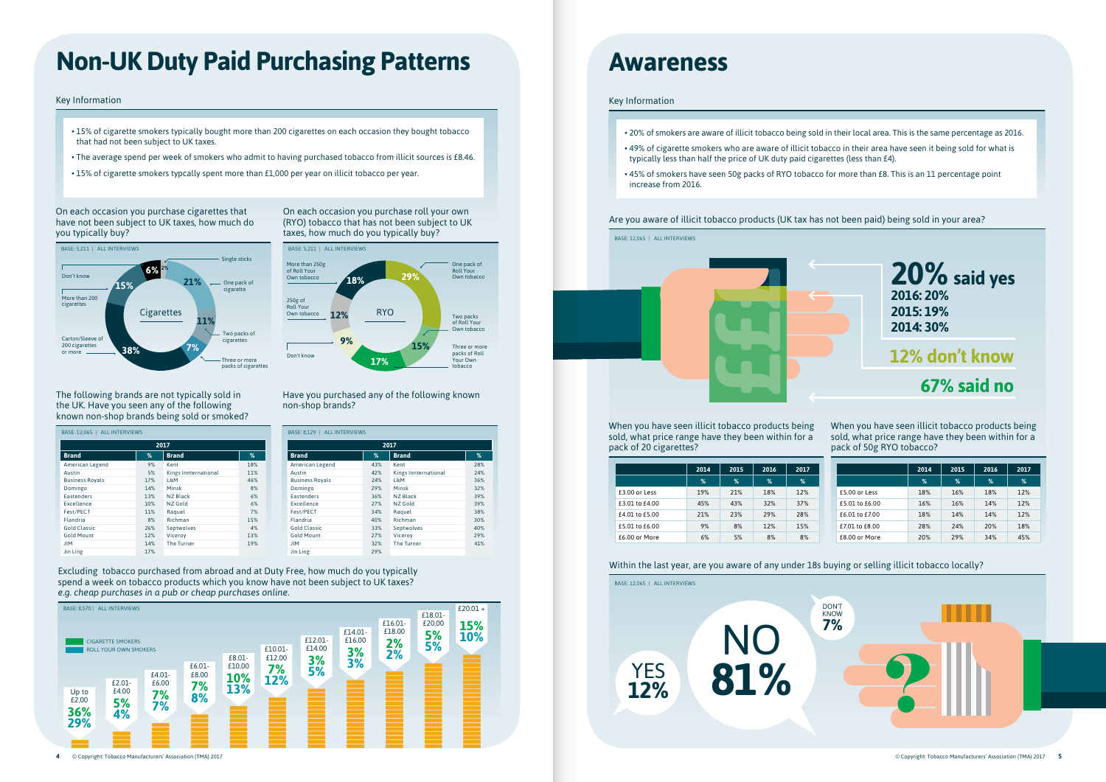## **Awareness**

### Within the last year, are you aware of any under 18s buying or selling illicit tobacco locally?



### Key Information

• 49% of cigarette smokers who are aware of illicit tobacco in their area have seen it being sold for what is

When you have seen illicit tobacco products being sold, what price range have they been within for a pack of 20 cigarettes?

- 20% of smokers are aware of illicit tobacco being sold in their local area. This is the same percentage as 2016.
- typically less than half the price of UK duty paid cigarettes (less than £4).
- 45% of smokers have seen 50g packs of RYO tobacco for more than £8. This is an 11 percentage point increase from 2016.

When you have seen illicit tobacco products being sold, what price range have they been within for a pack of 50g RYO tobacco?

Are you aware of illicit tobacco products (UK tax has not been paid) being sold in your area?

BASE: 12,065 | ALL INTERVIEWS

Excluding tobacco purchased from abroad and at Duty Free, how much do you typically spend a week on tobacco products which you know have not been subject to UK taxes? *e.g. cheap purchases in a pub or cheap purchases online.*

| BASE: 12,065   ALL INTERVIEWS |     |                      |     |  |  |  |  |  |
|-------------------------------|-----|----------------------|-----|--|--|--|--|--|
| 2017                          |     |                      |     |  |  |  |  |  |
| <b>Brand</b>                  | %   | <b>Brand</b>         | %   |  |  |  |  |  |
| American Legend               | 9%  | Kent                 | 18% |  |  |  |  |  |
| Austin                        | 5%  | Kings Innternational | 11% |  |  |  |  |  |
| <b>Business Royals</b>        | 17% | L&M                  | 46% |  |  |  |  |  |
| Domingo                       | 14% | Minsk                | 8%  |  |  |  |  |  |
| <b>Eastenders</b>             | 13% | NZ Black             | 6%  |  |  |  |  |  |
| Excellence                    | 10% | NZ Gold              | 6%  |  |  |  |  |  |
| Fest/PECT                     | 11% | Raquel               | 7%  |  |  |  |  |  |
| Flandria                      | 8%  | Richman              | 15% |  |  |  |  |  |
| <b>Gold Classic</b>           | 26% | Septwolves           | 4%  |  |  |  |  |  |
| <b>Gold Mount</b>             | 12% | Viceroy              | 13% |  |  |  |  |  |
| <b>JIM</b>                    | 14% | The Turner           | 19% |  |  |  |  |  |
| Jin Ling                      | 17% |                      |     |  |  |  |  |  |

| BASE: 8,129   ALL INTERVIEWS |     |                      |     |  |  |  |  |
|------------------------------|-----|----------------------|-----|--|--|--|--|
| 2017                         |     |                      |     |  |  |  |  |
| <b>Brand</b>                 | %   | <b>Brand</b>         | %   |  |  |  |  |
| American Legend              | 43% | Kent                 | 28% |  |  |  |  |
| Austin                       | 42% | Kings Innternational | 24% |  |  |  |  |
| <b>Business Royals</b>       | 24% | L&M                  | 36% |  |  |  |  |
| Domingo                      | 29% | Minsk                | 32% |  |  |  |  |
| <b>Eastenders</b>            | 36% | NZ Black             | 39% |  |  |  |  |
| Excellence                   | 27% | NZ Gold              | 39% |  |  |  |  |
| Fest/PECT                    | 34% | Raquel               | 38% |  |  |  |  |
| Flandria                     | 40% | Richman              | 30% |  |  |  |  |
| <b>Gold Classic</b>          | 33% | Septwolves           | 40% |  |  |  |  |
| <b>Gold Mount</b>            | 27% | Viceroy              | 29% |  |  |  |  |
| <b>JIM</b>                   | 32% | <b>The Turner</b>    | 41% |  |  |  |  |
| Jin Ling                     | 29% |                      |     |  |  |  |  |

The following brands are not typically sold in the UK. Have you seen any of the following known non-shop brands being sold or smoked?

Have you purchased any of the following known non-shop brands?

|                | 2014 | 2015 | 2016          | 2017 |                | 2014 | 2015          | 2016          | 2017 |
|----------------|------|------|---------------|------|----------------|------|---------------|---------------|------|
|                | %    | %    | $\frac{9}{6}$ | %    |                | %    | $\frac{9}{6}$ | $\frac{9}{6}$ | %    |
| £3.00 or Less  | 19%  | 21%  | 18%           | 12%  | £5.00 or Less  | 18%  | 16%           | 18%           | 12%  |
| £3.01 to £4.00 | 45%  | 43%  | 32%           | 37%  | £5.01 to £6.00 | 16%  | 16%           | 14%           | 12%  |
| £4.01 to £5.00 | 21%  | 23%  | 29%           | 28%  | £6.01 to £7.00 | 18%  | 14%           | 14%           | 12%  |
| £5.01 to £6.00 | 9%   | 8%   | 12%           | 15%  | £7.01 to £8.00 | 28%  | 24%           | 20%           | 18%  |
| £6.00 or More  | 6%   | 5%   | 8%            | 8%   | £8.00 or More  | 20%  | 29%           | 34%           | 45%  |





# **Non-UK Duty Paid Purchasing Patterns**

#### Key Information





- 15% of cigarette smokers typically bought more than 200 cigarettes on each occasion they bought tobacco that had not been subject to UK taxes.
- The average spend per week of smokers who admit to having purchased tobacco from illicit sources is £8.46.
- 15% of cigarette smokers typcally spent more than £1,000 per year on illicit tobacco per year.

On each occasion you purchase cigarettes that have not been subject to UK taxes, how much do you typically buy?

On each occasion you purchase roll your own (RYO) tobacco that has not been subject to UK taxes, how much do you typically buy?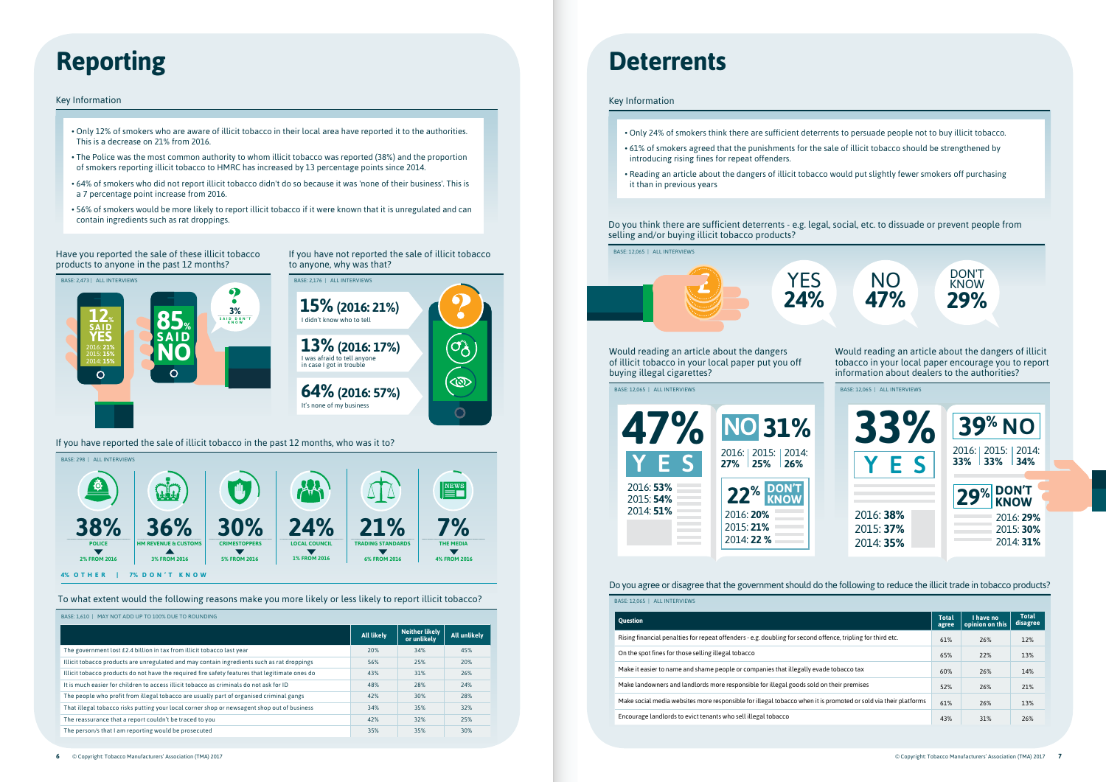Have you reported the sale of these illicit tobacco products to anyone in the past 12 months?

If you have not reported the sale of illicit tobacco to anyone, why was that?



If you have reported the sale of illicit tobacco in the past 12 months, who was it to?

To what extent would the following reasons make you more likely or less likely to report illicit tobacco?

Do you agree or disagree that the government should do the following to reduce the illicit trade in tobacco products?

| <b>ALL INTERVIEWS</b><br>BASE: 12.065                                                                           |                       |                              |                          |
|-----------------------------------------------------------------------------------------------------------------|-----------------------|------------------------------|--------------------------|
| <b>Ouestion</b>                                                                                                 | <b>Total</b><br>agree | I have no<br>opinion on this | <b>Total</b><br>disagree |
| Rising financial penalties for repeat offenders - e.g. doubling for second offence, tripling for third etc.     | 61%                   | 26%                          | 12%                      |
| On the spot fines for those selling illegal tobacco                                                             | 65%                   | 22%                          | 13%                      |
| Make it easier to name and shame people or companies that illegally evade tobacco tax                           | 60%                   | 26%                          | 14%                      |
| Make landowners and landlords more responsible for illegal goods sold on their premises                         | 52%                   | 26%                          | 21%                      |
| Make social media websites more responsible for illegal tobacco when it is promoted or sold via their platforms | 61%                   | 26%                          | 13%                      |
| Encourage landlords to evict tenants who sell illegal tobacco                                                   | 43%                   | 31%                          | 26%                      |

Key Information

- Only 24% of smokers think there are sufficient deterrents to persuade people not to buy illicit tobacco.
- 61% of smokers agreed that the punishments for the sale of illicit tobacco should be strengthened by introducing rising fines for repeat offenders.
- Reading an article about the dangers of illicit tobacco would put slightly fewer smokers off purchasing it than in previous years

Would reading an article about the dangers of illicit tobacco in your local paper put you off buying illegal cigarettes?

BASE: 12,065 | ALL INTERVIEWS





| MAY NOT ADD UP TO 100% DUE TO ROUNDING<br>BASE: 1.610                                          |                   |                                      |              |
|------------------------------------------------------------------------------------------------|-------------------|--------------------------------------|--------------|
|                                                                                                | <b>All likely</b> | <b>Neither likely</b><br>or unlikely | All unlikely |
| The government lost £2.4 billion in tax from illicit tobacco last year                         | 20%               | 34%                                  | 45%          |
| Illicit tobacco products are unregulated and may contain ingredients such as rat droppings     | 56%               | 25%                                  | 20%          |
| Illicit tobacco products do not have the required fire safety features that legitimate ones do | 43%               | 31%                                  | 26%          |
| It is much easier for children to access illicit tobacco as criminals do not ask for ID        | 48%               | 28%                                  | 24%          |
| The people who profit from illegal tobacco are usually part of organised criminal gangs        | 42%               | 30%                                  | 28%          |
| That illegal tobacco risks putting your local corner shop or newsagent shop out of business    | 34%               | 35%                                  | 32%          |
| The reassurance that a report couldn't be traced to you                                        | 42%               | 32%                                  | 25%          |
| The person/s that I am reporting would be prosecuted                                           | 35%               | 35%                                  | 30%          |

# **Reporting Deterrents**

#### Key Information

- Only 12% of smokers who are aware of illicit tobacco in their local area have reported it to the authorities. This is a decrease on 21% from 2016.
- The Police was the most common authority to whom illicit tobacco was reported (38%) and the proportion of smokers reporting illicit tobacco to HMRC has increased by 13 percentage points since 2014.
- 64% of smokers who did not report illicit tobacco didn't do so because it was 'none of their business'. This is a 7 percentage point increase from 2016.
- 56% of smokers would be more likely to report illicit tobacco if it were known that it is unregulated and can contain ingredients such as rat droppings.



| <b>47%</b>                          | <b>NO 31%</b><br>2016:   2015:   2014:<br>$27\%$ 25% 26% |
|-------------------------------------|----------------------------------------------------------|
| 2016: 53%<br>2015: 54%<br>2014: 51% | 22% DON'T<br>2016: 20%<br>2015: 21%<br>2014: 22 %        |

Do you think there are sufficient deterrents - e.g. legal, social, etc. to dissuade or prevent people from selling and/or buying illicit tobacco products?



BASE: 12,065 | ALL INTERVIEWS